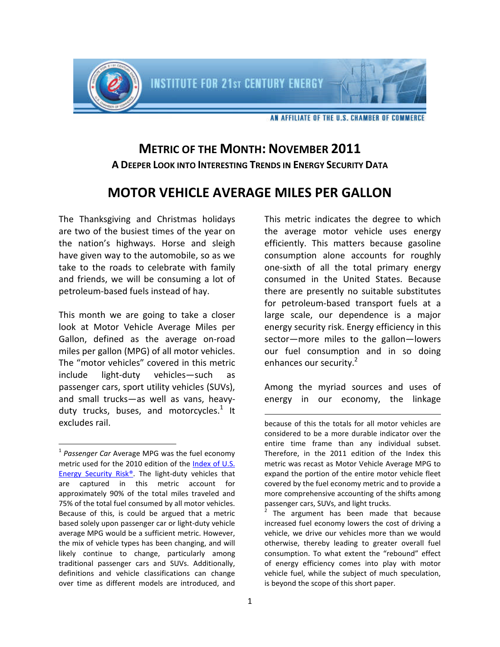

## **METRIC OF THE MONTH: NOVEMBER 2011 A DEEPER LOOK INTO INTERESTING TRENDS IN ENERGY SECURITY DATA**

## **MOTOR VEHICLE AVERAGE MILES PER GALLON**

The Thanksgiving and Christmas holidays are two of the busiest times of the year on the nation's highways. Horse and sleigh have given way to the automobile, so as we take to the roads to celebrate with family and friends, we will be consuming a lot of petroleum-based fuels instead of hay.

This month we are going to take a closer look at Motor Vehicle Average Miles per Gallon, defined as the average on-road miles per gallon (MPG) of all motor vehicles. The "motor vehicles" covered in this metric include light-duty vehicles—such as passenger cars, sport utility vehicles (SUVs), and small trucks—as well as vans, heavyduty trucks, buses, and motorcycles. $^{1}$  $^{1}$  $^{1}$  It excludes rail.

This metric indicates the degree to which the average motor vehicle uses energy efficiently. This matters because gasoline consumption alone accounts for roughly one-sixth of all the total primary energy consumed in the United States. Because there are presently no suitable substitutes for petroleum-based transport fuels at a large scale, our dependence is a major energy security risk. Energy efficiency in this sector—more miles to the gallon—lowers our fuel consumption and in so doing enhances our security.<sup>[2](#page-0-1)</sup>

Among the myriad sources and uses of energy in our economy, the linkage

<span id="page-0-0"></span><sup>&</sup>lt;sup>1</sup> Passenger Car Average MPG was the fuel economy metric used for the 2010 edition of the Index of U.S. Energy Security Risk®. The light-duty vehicles that are captured in this metric account for approximately 90% of the total miles traveled and 75% of the total fuel consumed by all motor vehicles. Because of this, is could be argued that a metric based solely upon passenger car or light-duty vehicle average MPG would be a sufficient metric. However, the mix of vehicle types has been changing, and will likely continue to change, particularly among traditional passenger cars and SUVs. Additionally, definitions and vehicle classifications can change over time as different models are introduced, and

because of this the totals for all motor vehicles are considered to be a more durable indicator over the entire time frame than any individual subset. Therefore, in the 2011 edition of the Index this metric was recast as Motor Vehicle Average MPG to expand the portion of the entire motor vehicle fleet covered by the fuel economy metric and to provide a more comprehensive accounting of the shifts among passenger cars, SUVs, and light trucks.

<span id="page-0-1"></span> $2$  The argument has been made that because increased fuel economy lowers the cost of driving a vehicle, we drive our vehicles more than we would otherwise, thereby leading to greater overall fuel consumption. To what extent the "rebound" effect of energy efficiency comes into play with motor vehicle fuel, while the subject of much speculation, is beyond the scope of this short paper.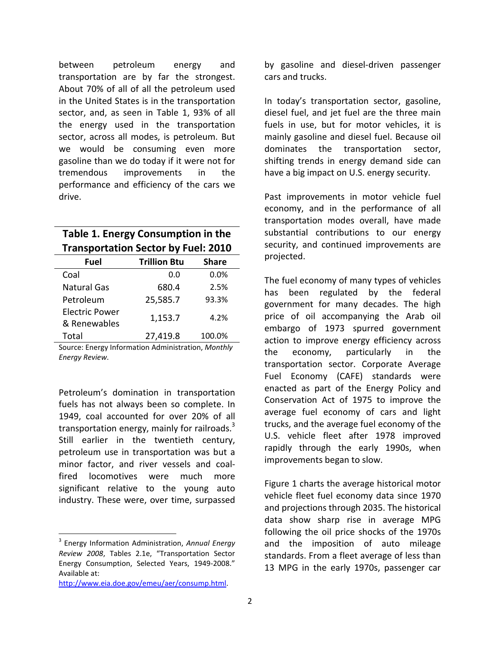between petroleum energy and transportation are by far the strongest. About 70% of all of all the petroleum used in the United States is in the transportation sector, and, as seen in Table 1, 93% of all the energy used in the transportation sector, across all modes, is petroleum. But we would be consuming even more gasoline than we do today if it were not for tremendous improvements in the performance and efficiency of the cars we drive.

| Table 1. Energy Consumption in the         |  |
|--------------------------------------------|--|
| <b>Transportation Sector by Fuel: 2010</b> |  |

| Fuel                           | <b>Trillion Btu</b> | <b>Share</b> |
|--------------------------------|---------------------|--------------|
| Coal                           | 0.0                 | 0.0%         |
| <b>Natural Gas</b>             | 680.4               | 2.5%         |
| Petroleum                      | 25,585.7            | 93.3%        |
| Electric Power<br>& Renewables | 1,153.7             | 4.2%         |
| Total                          | 27,419.8            | 100.0%       |

Source: Energy Information Administration, *Monthly Energy Review*.

Petroleum's domination in transportation fuels has not always been so complete. In 1949, coal accounted for over 20% of all transportation energy, mainly for railroads.<sup>[3](#page-1-0)</sup> Still earlier in the twentieth century, petroleum use in transportation was but a minor factor, and river vessels and coalfired locomotives were much more significant relative to the young auto industry. These were, over time, surpassed

http://www.eia.doe.gov/emeu/aer/consump.html.

by gasoline and diesel-driven passenger cars and trucks.

In today's transportation sector, gasoline, diesel fuel, and jet fuel are the three main fuels in use, but for motor vehicles, it is mainly gasoline and diesel fuel. Because oil dominates the transportation sector, shifting trends in energy demand side can have a big impact on U.S. energy security.

Past improvements in motor vehicle fuel economy, and in the performance of all transportation modes overall, have made substantial contributions to our energy security, and continued improvements are projected.

The fuel economy of many types of vehicles has been regulated by the federal government for many decades. The high price of oil accompanying the Arab oil embargo of 1973 spurred government action to improve energy efficiency across the economy, particularly in the transportation sector. Corporate Average Fuel Economy (CAFE) standards were enacted as part of the Energy Policy and Conservation Act of 1975 to improve the average fuel economy of cars and light trucks, and the average fuel economy of the U.S. vehicle fleet after 1978 improved rapidly through the early 1990s, when improvements began to slow.

Figure 1 charts the average historical motor vehicle fleet fuel economy data since 1970 and projections through 2035. The historical data show sharp rise in average MPG following the oil price shocks of the 1970s and the imposition of auto mileage standards. From a fleet average of less than 13 MPG in the early 1970s, passenger car

<span id="page-1-0"></span><sup>3</sup> Energy Information Administration, *Annual Energy Review 2008*, Tables 2.1e, "Transportation Sector Energy Consumption, Selected Years, 1949-2008." Available at: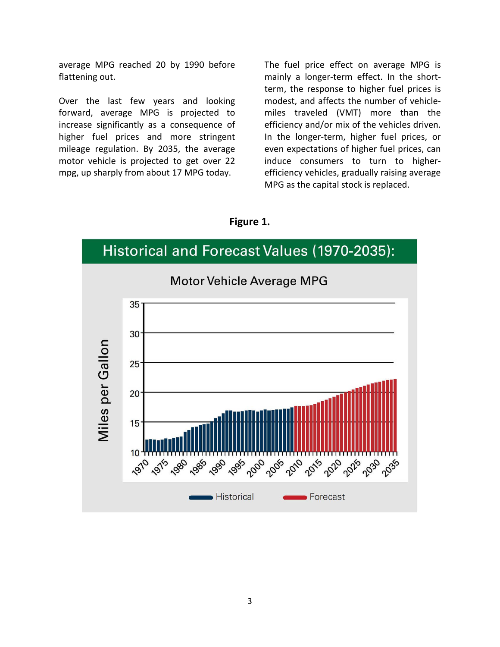average MPG reached 20 by 1990 before flattening out.

Over the last few years and looking forward, average MPG is projected to increase significantly as a consequence of higher fuel prices and more stringent mileage regulation. By 2035, the average motor vehicle is projected to get over 22 mpg, up sharply from about 17 MPG today.

The fuel price effect on average MPG is mainly a longer-term effect. In the shortterm, the response to higher fuel prices is modest, and affects the number of vehiclemiles traveled (VMT) more than the efficiency and/or mix of the vehicles driven. In the longer-term, higher fuel prices, or even expectations of higher fuel prices, can induce consumers to turn to higherefficiency vehicles, gradually raising average MPG as the capital stock is replaced.